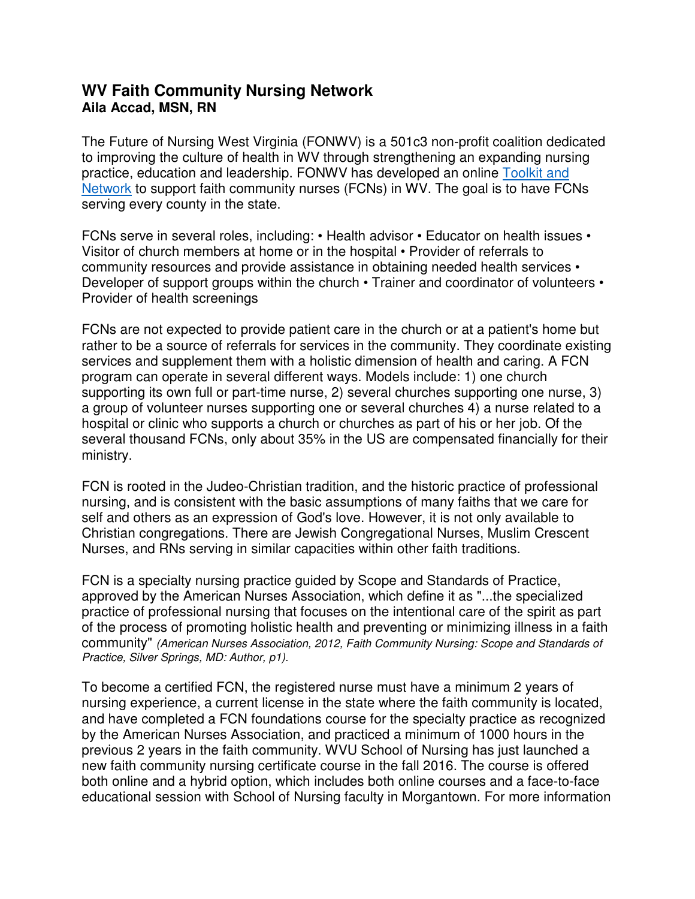## **WV Faith Community Nursing Network Aila Accad, MSN, RN**

The Future of Nursing West Virginia (FONWV) is a 501c3 non-profit coalition dedicated to improving the culture of health in WV through strengthening an expanding nursing practice, education and leadership. FONWV has developed an online Toolkit and Network to support faith community nurses (FCNs) in WV. The goal is to have FCNs serving every county in the state.

FCNs serve in several roles, including: • Health advisor • Educator on health issues • Visitor of church members at home or in the hospital • Provider of referrals to community resources and provide assistance in obtaining needed health services • Developer of support groups within the church • Trainer and coordinator of volunteers • Provider of health screenings

FCNs are not expected to provide patient care in the church or at a patient's home but rather to be a source of referrals for services in the community. They coordinate existing services and supplement them with a holistic dimension of health and caring. A FCN program can operate in several different ways. Models include: 1) one church supporting its own full or part-time nurse, 2) several churches supporting one nurse, 3) a group of volunteer nurses supporting one or several churches 4) a nurse related to a hospital or clinic who supports a church or churches as part of his or her job. Of the several thousand FCNs, only about 35% in the US are compensated financially for their ministry.

FCN is rooted in the Judeo-Christian tradition, and the historic practice of professional nursing, and is consistent with the basic assumptions of many faiths that we care for self and others as an expression of God's love. However, it is not only available to Christian congregations. There are Jewish Congregational Nurses, Muslim Crescent Nurses, and RNs serving in similar capacities within other faith traditions.

FCN is a specialty nursing practice guided by Scope and Standards of Practice, approved by the American Nurses Association, which define it as "...the specialized practice of professional nursing that focuses on the intentional care of the spirit as part of the process of promoting holistic health and preventing or minimizing illness in a faith community" *(American Nurses Association, 2012, Faith Community Nursing: Scope and Standards of Practice, Silver Springs, MD: Author, p1).*

To become a certified FCN, the registered nurse must have a minimum 2 years of nursing experience, a current license in the state where the faith community is located, and have completed a FCN foundations course for the specialty practice as recognized by the American Nurses Association, and practiced a minimum of 1000 hours in the previous 2 years in the faith community. WVU School of Nursing has just launched a new faith community nursing certificate course in the fall 2016. The course is offered both online and a hybrid option, which includes both online courses and a face-to-face educational session with School of Nursing faculty in Morgantown. For more information